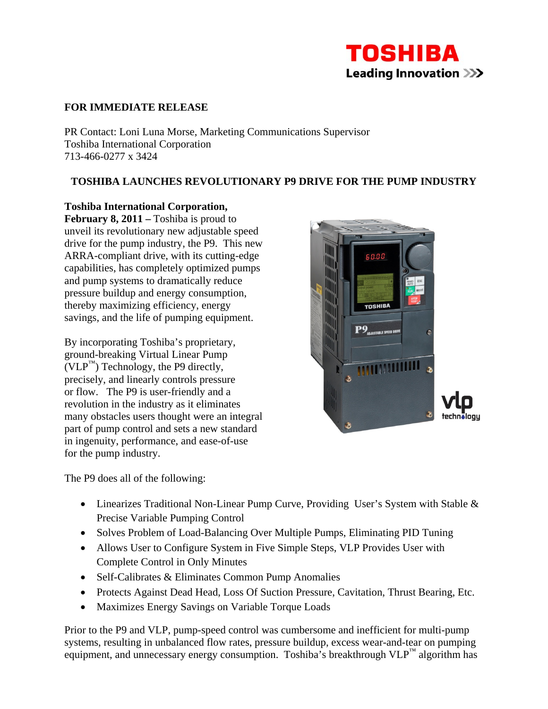## **TOSHIBA Leading Innovation >>>**

## **FOR IMMEDIATE RELEASE**

PR Contact: Loni Luna Morse, Marketing Communications Supervisor Toshiba International Corporation 713-466-0277 x 3424

## **TOSHIBA LAUNCHES REVOLUTIONARY P9 DRIVE FOR THE PUMP INDUSTRY**

**Toshiba International Corporation,** 

**February 8, 2011 –** Toshiba is proud to unveil its revolutionary new adjustable speed drive for the pump industry, the P9. This new ARRA-compliant drive, with its cutting-edge capabilities, has completely optimized pumps and pump systems to dramatically reduce pressure buildup and energy consumption, thereby maximizing efficiency, energy savings, and the life of pumping equipment.

By incorporating Toshiba's proprietary, ground-breaking Virtual Linear Pump  $(VLP<sup>TM</sup>)$  Technology, the P9 directly, precisely, and linearly controls pressure or flow. The P9 is user-friendly and a revolution in the industry as it eliminates many obstacles users thought were an integral part of pump control and sets a new standard in ingenuity, performance, and ease-of-use for the pump industry.



The P9 does all of the following:

- Linearizes Traditional Non-Linear Pump Curve, Providing User's System with Stable & Precise Variable Pumping Control
- Solves Problem of Load-Balancing Over Multiple Pumps, Eliminating PID Tuning
- Allows User to Configure System in Five Simple Steps, VLP Provides User with Complete Control in Only Minutes
- Self-Calibrates & Eliminates Common Pump Anomalies
- Protects Against Dead Head, Loss Of Suction Pressure, Cavitation, Thrust Bearing, Etc.
- Maximizes Energy Savings on Variable Torque Loads

Prior to the P9 and VLP, pump-speed control was cumbersome and inefficient for multi-pump systems, resulting in unbalanced flow rates, pressure buildup, excess wear-and-tear on pumping equipment, and unnecessary energy consumption. Toshiba's breakthrough VLP™ algorithm has